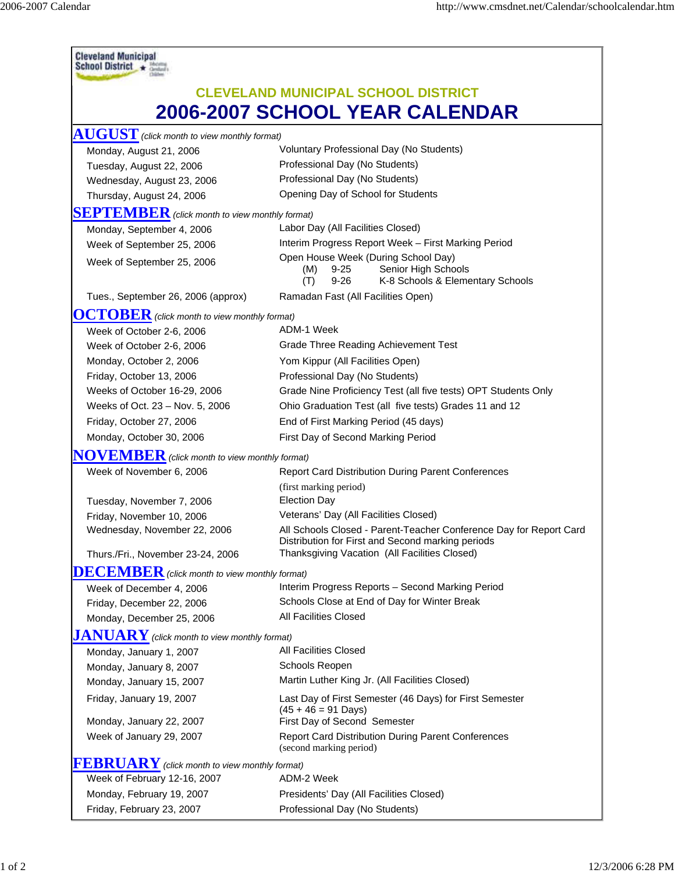| <b>Cleveland Municipal</b><br>School District *                                     |                                                                                                                                                                          |  |                                                        |                                          |
|-------------------------------------------------------------------------------------|--------------------------------------------------------------------------------------------------------------------------------------------------------------------------|--|--------------------------------------------------------|------------------------------------------|
| <b>CLEVELAND MUNICIPAL SCHOOL DISTRICT</b><br><b>2006-2007 SCHOOL YEAR CALENDAR</b> |                                                                                                                                                                          |  |                                                        |                                          |
|                                                                                     |                                                                                                                                                                          |  | $\mathbf{AUGUST}$ (click month to view monthly format) | Voluntary Professional Day (No Students) |
|                                                                                     |                                                                                                                                                                          |  | Monday, August 21, 2006                                | Professional Day (No Students)           |
| Tuesday, August 22, 2006                                                            | Professional Day (No Students)                                                                                                                                           |  |                                                        |                                          |
| Wednesday, August 23, 2006<br>Thursday, August 24, 2006                             | Opening Day of School for Students                                                                                                                                       |  |                                                        |                                          |
|                                                                                     |                                                                                                                                                                          |  |                                                        |                                          |
| <b>SEPTEMBER</b> (click month to view monthly format)                               | Labor Day (All Facilities Closed)                                                                                                                                        |  |                                                        |                                          |
| Monday, September 4, 2006                                                           | Interim Progress Report Week - First Marking Period                                                                                                                      |  |                                                        |                                          |
| Week of September 25, 2006                                                          | Open House Week (During School Day)                                                                                                                                      |  |                                                        |                                          |
| Week of September 25, 2006                                                          | Senior High Schools<br>$9 - 25$<br>(M)<br>$9 - 26$<br>K-8 Schools & Elementary Schools<br>(T)                                                                            |  |                                                        |                                          |
| Tues., September 26, 2006 (approx)                                                  | Ramadan Fast (All Facilities Open)                                                                                                                                       |  |                                                        |                                          |
| $\overline{OCTOBER}$ (click month to view monthly format)                           |                                                                                                                                                                          |  |                                                        |                                          |
| Week of October 2-6, 2006                                                           | ADM-1 Week                                                                                                                                                               |  |                                                        |                                          |
| Week of October 2-6, 2006                                                           | <b>Grade Three Reading Achievement Test</b>                                                                                                                              |  |                                                        |                                          |
| Monday, October 2, 2006                                                             | Yom Kippur (All Facilities Open)                                                                                                                                         |  |                                                        |                                          |
| Friday, October 13, 2006                                                            | Professional Day (No Students)                                                                                                                                           |  |                                                        |                                          |
| Weeks of October 16-29, 2006                                                        | Grade Nine Proficiency Test (all five tests) OPT Students Only                                                                                                           |  |                                                        |                                          |
| Weeks of Oct. 23 - Nov. 5, 2006                                                     | Ohio Graduation Test (all five tests) Grades 11 and 12                                                                                                                   |  |                                                        |                                          |
| Friday, October 27, 2006                                                            | End of First Marking Period (45 days)                                                                                                                                    |  |                                                        |                                          |
| Monday, October 30, 2006                                                            | First Day of Second Marking Period                                                                                                                                       |  |                                                        |                                          |
| $\bf N OVER$ (click month to view monthly format)                                   |                                                                                                                                                                          |  |                                                        |                                          |
| Week of November 6, 2006                                                            | <b>Report Card Distribution During Parent Conferences</b>                                                                                                                |  |                                                        |                                          |
|                                                                                     | (first marking period)                                                                                                                                                   |  |                                                        |                                          |
| Tuesday, November 7, 2006                                                           | <b>Election Day</b>                                                                                                                                                      |  |                                                        |                                          |
| Friday, November 10, 2006                                                           | Veterans' Day (All Facilities Closed)                                                                                                                                    |  |                                                        |                                          |
| Wednesday, November 22, 2006                                                        | All Schools Closed - Parent-Teacher Conference Day for Report Card<br>Distribution for First and Second marking periods<br>Thanksgiving Vacation (All Facilities Closed) |  |                                                        |                                          |
| Thurs./Fri., November 23-24, 2006                                                   |                                                                                                                                                                          |  |                                                        |                                          |
| $\overline{\textbf{DECEMBER}}$ (click month to view monthly format)                 |                                                                                                                                                                          |  |                                                        |                                          |
| Week of December 4, 2006                                                            | Interim Progress Reports - Second Marking Period                                                                                                                         |  |                                                        |                                          |
| Friday, December 22, 2006                                                           | Schools Close at End of Day for Winter Break                                                                                                                             |  |                                                        |                                          |
| Monday, December 25, 2006                                                           | All Facilities Closed                                                                                                                                                    |  |                                                        |                                          |
| <b>JANUARY</b> (click month to view monthly format)                                 |                                                                                                                                                                          |  |                                                        |                                          |
| Monday, January 1, 2007                                                             | All Facilities Closed                                                                                                                                                    |  |                                                        |                                          |
| Monday, January 8, 2007                                                             | Schools Reopen                                                                                                                                                           |  |                                                        |                                          |
| Monday, January 15, 2007                                                            | Martin Luther King Jr. (All Facilities Closed)                                                                                                                           |  |                                                        |                                          |
| Friday, January 19, 2007                                                            | Last Day of First Semester (46 Days) for First Semester<br>$(45 + 46 = 91$ Days)                                                                                         |  |                                                        |                                          |
| Monday, January 22, 2007                                                            | First Day of Second Semester                                                                                                                                             |  |                                                        |                                          |
| Week of January 29, 2007                                                            | Report Card Distribution During Parent Conferences<br>(second marking period)                                                                                            |  |                                                        |                                          |
| $FEBRUARY$ (click month to view monthly format)                                     |                                                                                                                                                                          |  |                                                        |                                          |
| Week of February 12-16, 2007                                                        | ADM-2 Week                                                                                                                                                               |  |                                                        |                                          |
| Monday, February 19, 2007                                                           | Presidents' Day (All Facilities Closed)                                                                                                                                  |  |                                                        |                                          |
| Friday, February 23, 2007                                                           | Professional Day (No Students)                                                                                                                                           |  |                                                        |                                          |